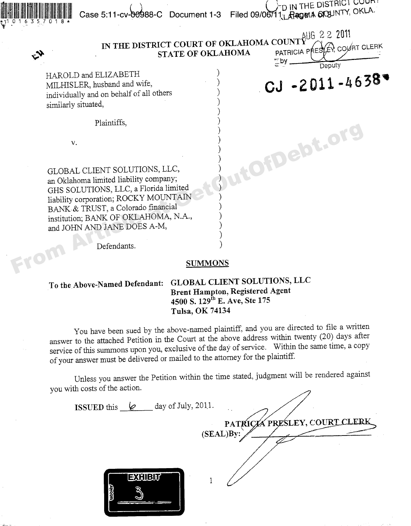$\blacksquare$ initially  $\blacksquare$ 

ll御曲典典典典典 Case 5:11-cv-99988-C Document 1-3 Filed 09/06711, RagerA 6f3JNTY, <sup>OKLJ</sup>

IN THE DISTRICT COURT OF OKLAHOMA COUNTY **STATE OF OKLAHOMA** PATRICIA P

 $_{AlJG}$  2 2 2011 Deputy

 $CJ - 2011 - 4638$ 

HAROLD and ELIZABETH individually and on behalf of all others similarly situated,

Plaintiffs,.

\* i1 0 1 6 3 5 7 0 1 8 \*

GLOBAL CLIENT SOLUTIONS, LLC, an Oklahoma limited liability company; GHS SOLUTIONS, LLC, a Florida limited liability corporation, ROCKY MOUNTAIN BANK & TRUST, a Colorado financial institution, BANK OF OKLAHOMA, N.A., and JOHN AND JANE DOES A-M, V.<br>
(GLOBAL CLIENT SOLUTIONS, LLC,<br>
an Oklahoma limited liability company;<br>
GHS SOLUTIONS, LLC, a Plorida limited<br>
liability corporation; ROCKY MOUNTAIN<br>
BANK & TRUST, a Colorado financial<br>
institution; BANK OF OKLAHOMA, N

Defendants.

## **SUMMONS**

## To the **Above-Named Defendant: GLOBAL CLIENT SOLUTIONS, LLC Brent Hampton, Registered Agent 4500 S. 129'" E. Ave, Ste 175 Tulsa, OK** 74134

You have been sued by the above named plaintiff, and you are directed to file a written answer to the attached Petition in the Court at the above address within twenty (20) days after service of this summons upon you, exclusive of the day of service. Within the same time, a copy of your answer must be delivered or mailed to the attorney for the plaintiff.

Unless you answer the Petition within the time stated, judgment will be rendered against you with costs of the action.

| day of July, 2011.<br><b>ISSUED</b> this $\&$ | PATRICKÁ PRESLEY, COURT CLERK |
|-----------------------------------------------|-------------------------------|
|                                               | (SEAL)By:                     |
| <b>EXHIBIT</b><br><b>ubbles</b>               |                               |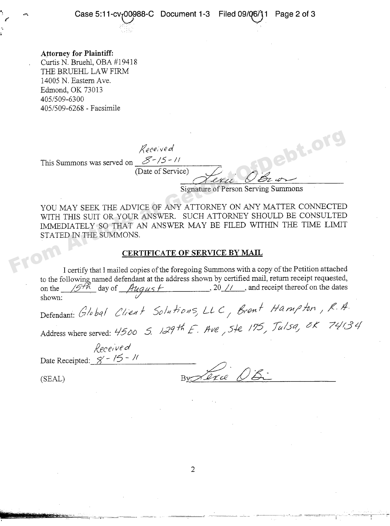**Attorney for Plaintiff:** Curtis N. Bruehl, OBA #19418 THE BRUEHL LAW FIRM 14005 N. Eastern Ave. Edmond, OK 73013 405/509-6300 405/509-6268 - Facsimile

Received

(Date of Service)

This Summons was served on  $\mathscr{S}$ -/5 - //

Signature of Person Serving Summons

YOU MAY SEEK THE ADVICE OF ANY ATTORNEY ON ANY MATTER CONNECTED WITH THIS SUIT OR YOUR ANSWER. SUCH ATTORNEY SHOULD BE CONSULTED IMMEDIATELY SO THAT AN ANSWER MAY BE FILED WITHIN THE TIME LIMIT STATED IN THE SUMMONS.  $\begin{array}{r@{\hspace{-0.1cm}}l} \end{array} \begin{array}{r@{\hspace{-0.1cm}}l} \end{array} \begin{array}{r@{\hspace{-0.1cm}}l} \end{array} \begin{array}{r@{\hspace{-0.1cm}}l} \end{array} \begin{array}{r@{\hspace{-0.1cm}}l} \end{array} \begin{array}{r@{\hspace{-0.1cm}}l} \end{array} \begin{array}{r@{\hspace{-0.1cm}}l} \end{array} \begin{array}{r@{\hspace{-0.1cm}}l} \end{array} \begin{array}{r@{\hspace{-0.1cm}}l} \end{array} \begin{array}{r@{\hspace{-0.$ 

## **CERTIFICATE OF SERVICE BY MAIL**

I certify that I mailed copies of the foregoing Summons with a copy of the Petition attached to the following named defendant at the address shown by certified mail, return receipt requested, on the  $\frac{1}{5}$  day of  $\frac{h u g u s}{\mu}$ . 20 // and receipt thereof on the dates  $\frac{1}{20}$ , 20 //  $\frac{1}{20}$  and receipt thereof on the dates shown:

Defendant: Global Client Solutions, LLC, Bront Hampton, R.A. Address where served:  $4500$  5.  $129$ <sup>th</sup> E. Ave,  $5/2$ ,  $7/5$ ,  $T u/sq$ ,  $8/5$ ,  $74/34$ 

Received

Date Receipted:  $\cancel{S} - \cancel{15} - \cancel{11}$ 

 $B_{y}$   $B_{y}$   $D_{x}$